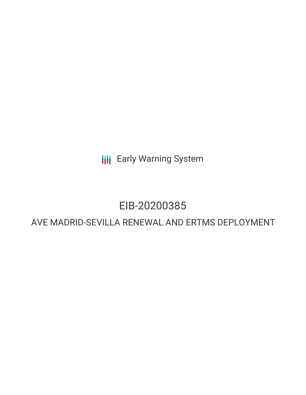**III** Early Warning System

## EIB-20200385

### AVE MADRID-SEVILLA RENEWAL AND ERTMS DEPLOYMENT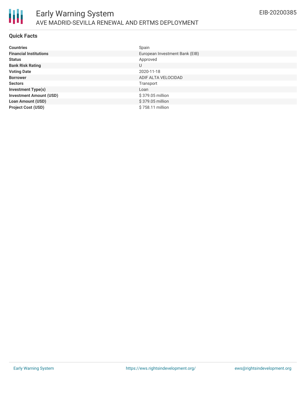

### **Quick Facts**

| <b>Countries</b>               | Spain                          |
|--------------------------------|--------------------------------|
| <b>Financial Institutions</b>  | European Investment Bank (EIB) |
| <b>Status</b>                  | Approved                       |
| <b>Bank Risk Rating</b>        | U                              |
| <b>Voting Date</b>             | 2020-11-18                     |
| <b>Borrower</b>                | ADIF ALTA VELOCIDAD            |
| <b>Sectors</b>                 | Transport                      |
| <b>Investment Type(s)</b>      | Loan                           |
| <b>Investment Amount (USD)</b> | \$379.05 million               |
| <b>Loan Amount (USD)</b>       | \$379.05 million               |
| <b>Project Cost (USD)</b>      | \$758.11 million               |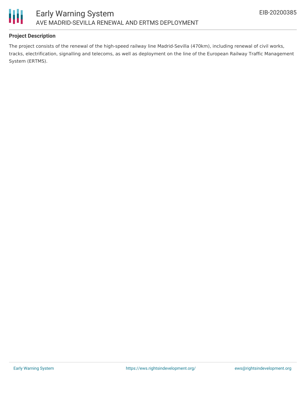



### **Project Description**

The project consists of the renewal of the high-speed railway line Madrid-Sevilla (470km), including renewal of civil works, tracks, electrification, signalling and telecoms, as well as deployment on the line of the European Railway Traffic Management System (ERTMS).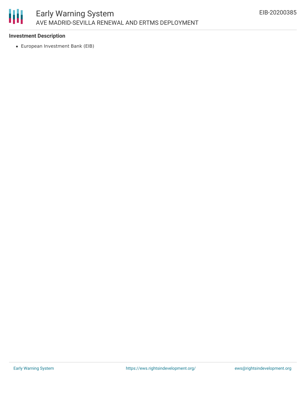

### **Investment Description**

European Investment Bank (EIB)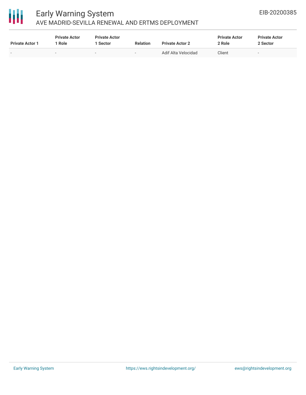# 冊

### Early Warning System AVE MADRID-SEVILLA RENEWAL AND ERTMS DEPLOYMENT

| <b>Private Actor 1</b> | <b>Private Actor</b><br>l Role. | <b>Private Actor</b><br><b>Sector</b> | <b>Relation</b> | <b>Private Actor 2</b> | <b>Private Actor</b><br>2 Role | <b>Private Actor</b><br>2 Sector |
|------------------------|---------------------------------|---------------------------------------|-----------------|------------------------|--------------------------------|----------------------------------|
| $\sim$                 |                                 | $\sim$                                |                 | Adif Alta Velocidad    | Client                         | $\sim$                           |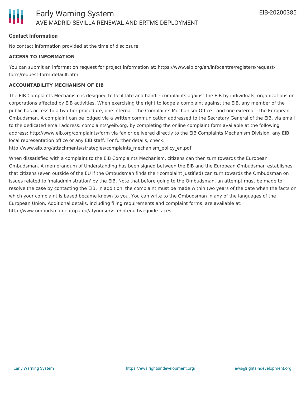### **Contact Information**

No contact information provided at the time of disclosure.

#### **ACCESS TO INFORMATION**

You can submit an information request for project information at: https://www.eib.org/en/infocentre/registers/requestform/request-form-default.htm

#### **ACCOUNTABILITY MECHANISM OF EIB**

The EIB Complaints Mechanism is designed to facilitate and handle complaints against the EIB by individuals, organizations or corporations affected by EIB activities. When exercising the right to lodge a complaint against the EIB, any member of the public has access to a two-tier procedure, one internal - the Complaints Mechanism Office - and one external - the European Ombudsman. A complaint can be lodged via a written communication addressed to the Secretary General of the EIB, via email to the dedicated email address: complaints@eib.org, by completing the online complaint form available at the following address: http://www.eib.org/complaints/form via fax or delivered directly to the EIB Complaints Mechanism Division, any EIB local representation office or any EIB staff. For further details, check:

http://www.eib.org/attachments/strategies/complaints\_mechanism\_policy\_en.pdf

When dissatisfied with a complaint to the EIB Complaints Mechanism, citizens can then turn towards the European Ombudsman. A memorandum of Understanding has been signed between the EIB and the European Ombudsman establishes that citizens (even outside of the EU if the Ombudsman finds their complaint justified) can turn towards the Ombudsman on issues related to 'maladministration' by the EIB. Note that before going to the Ombudsman, an attempt must be made to resolve the case by contacting the EIB. In addition, the complaint must be made within two years of the date when the facts on which your complaint is based became known to you. You can write to the Ombudsman in any of the languages of the European Union. Additional details, including filing requirements and complaint forms, are available at: http://www.ombudsman.europa.eu/atyourservice/interactiveguide.faces